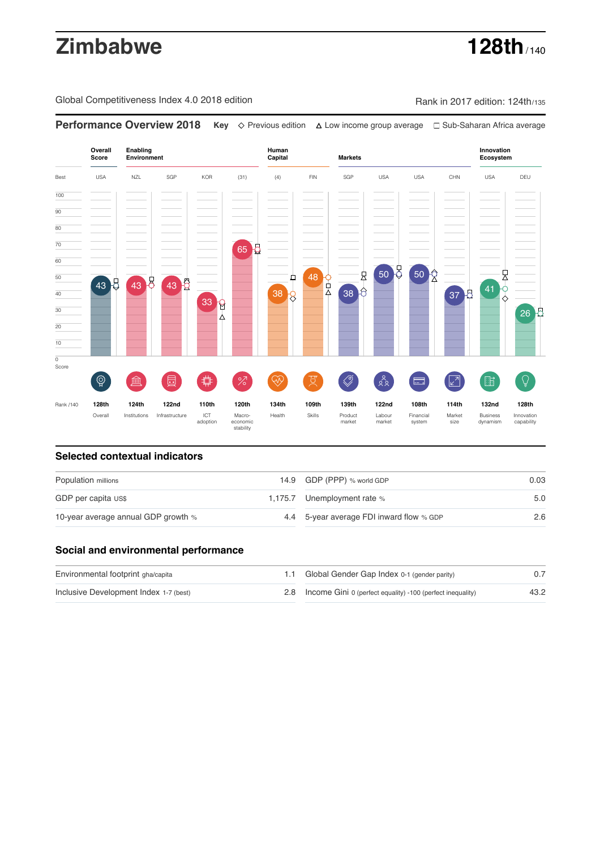# **Zimbabwe 128th**

Global Competitiveness Index 4.0 2018 edition Rank in 2017 edition: 124th/135

**Performance Overview 2018 Key** Previous edition Low income group average Sub-Saharan Africa average

**Overall Innovation Enabling Environment Human Capital Markets Score Ecosystem** Best USA NZL SGP KOR (31) (4) FIN SGP USA USA CHN USA DEU 100  $\overline{90}$ 80 70 65 8 60 50 50 良 尺 48 O 50 ₽  $\left( \frac{41}{8} \right)$ 43 Q 43 Q 43 X 40 38 6  $38<sub>2</sub>$ 37 B  $33<sup>2</sup>$ 30 26 2 20 10  $\overline{\text{o}}$ Score ♦ ៍{៌្ម} ี 2  $88$ **ledge (** 茴  $\circledcirc$  ( ਸ਼ੁ 击  $\sqrt{2}$ 脂 局 °Z Rank /140 **128th 124th 122nd 110th 120th 134th 109th 139th 122nd 108th 114th 132nd 128th** Overall Institutions Infrastructure ICT<br>adoption adoption Macro- economic stability Health Skills Product market Labour<br>market Financial system Market size Business dynamism Innovation capability

### **Selected contextual indicators**

| Population millions                 |  | 14.9 GDP (PPP) % world GDP               | 0.03 |  |
|-------------------------------------|--|------------------------------------------|------|--|
| GDP per capita US\$                 |  | 1,175.7 Unemployment rate %              | 5.0  |  |
| 10-year average annual GDP growth % |  | 4.4 5-year average FDI inward flow % GDP | 2.6  |  |

## **Social and environmental performance**

| Environmental footprint gha/capita     | 1.1 Global Gender Gap Index 0-1 (gender parity)                |      |
|----------------------------------------|----------------------------------------------------------------|------|
| Inclusive Development Index 1-7 (best) | 2.8 Income Gini 0 (perfect equality) -100 (perfect inequality) | 43.2 |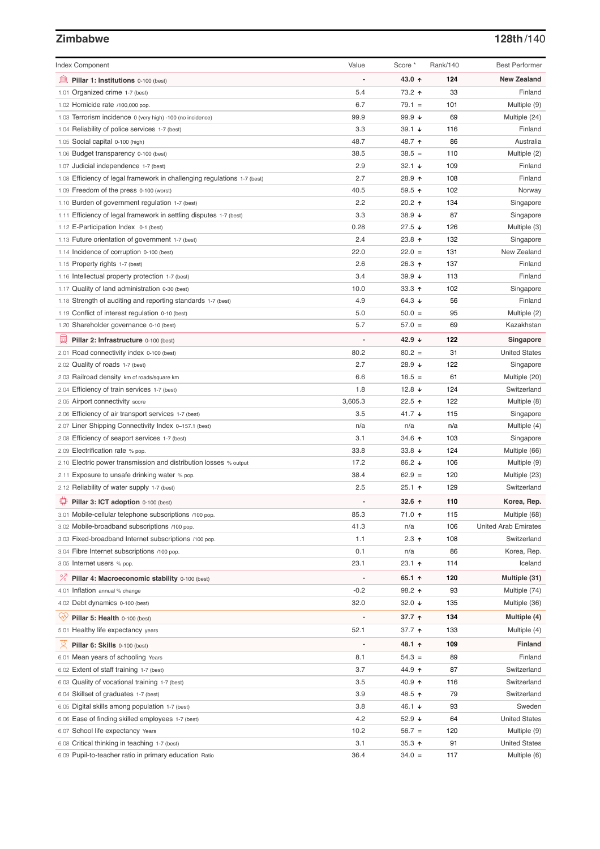# **Zimbabwe 128th**/140

| <b>Index Component</b>                                                   | Value          | Score *              | Rank/140 | <b>Best Performer</b>       |
|--------------------------------------------------------------------------|----------------|----------------------|----------|-----------------------------|
| Pillar 1: Institutions 0-100 (best)                                      |                | 43.0 ↑               | 124      | <b>New Zealand</b>          |
| 1.01 Organized crime 1-7 (best)                                          | 5.4            | 73.2 ↑               | 33       | Finland                     |
| 1.02 Homicide rate /100,000 pop.                                         | 6.7            | $79.1 =$             | 101      | Multiple (9)                |
| 1.03 Terrorism incidence 0 (very high) -100 (no incidence)               | 99.9           | 99.9 ↓               | 69       | Multiple (24)               |
| 1.04 Reliability of police services 1-7 (best)                           | 3.3            | $39.1 +$             | 116      | Finland                     |
| 1.05 Social capital 0-100 (high)                                         | 48.7           | 48.7 ↑               | 86       | Australia                   |
| 1.06 Budget transparency 0-100 (best)                                    | 38.5           | $38.5 =$             | 110      | Multiple (2)                |
| 1.07 Judicial independence 1-7 (best)                                    | 2.9            | $32.1 +$             | 109      | Finland                     |
| 1.08 Efficiency of legal framework in challenging regulations 1-7 (best) | 2.7            | 28.9 ↑               | 108      | Finland                     |
| 1.09 Freedom of the press 0-100 (worst)                                  | 40.5           | $59.5$ ↑             | 102      | Norway                      |
| 1.10 Burden of government regulation 1-7 (best)                          | 2.2            | 20.2 ↑               | 134      | Singapore                   |
| 1.11 Efficiency of legal framework in settling disputes 1-7 (best)       | 3.3            | 38.9 ↓               | 87       | Singapore                   |
| 1.12 E-Participation Index 0-1 (best)                                    | 0.28           | $27.5 \; \downarrow$ | 126      | Multiple (3)                |
| 1.13 Future orientation of government 1-7 (best)                         | 2.4            | 23.8 ↑               | 132      | Singapore                   |
| 1.14 Incidence of corruption 0-100 (best)                                | 22.0           | $22.0 =$             | 131      | New Zealand                 |
| 1.15 Property rights 1-7 (best)                                          | 2.6            | 26.3 ↑               | 137      | Finland                     |
| 1.16 Intellectual property protection 1-7 (best)                         | 3.4            | 39.9 $\sqrt{ }$      | 113      | Finland                     |
| 1.17 Quality of land administration 0-30 (best)                          | 10.0           | 33.3 $\uparrow$      | 102      | Singapore                   |
| 1.18 Strength of auditing and reporting standards 1-7 (best)             | 4.9            | 64.3 $\sqrt{ }$      | 56       | Finland                     |
| 1.19 Conflict of interest regulation 0-10 (best)                         | 5.0            | $50.0 =$             | 95       | Multiple (2)                |
| 1.20 Shareholder governance 0-10 (best)                                  | 5.7            | $57.0 =$             | 69       | Kazakhstan                  |
|                                                                          |                |                      |          |                             |
| Pillar 2: Infrastructure 0-100 (best)                                    |                | 42.9 ↓               | 122      | Singapore                   |
| 2.01 Road connectivity index 0-100 (best)                                | 80.2           | $80.2 =$             | 31       | <b>United States</b>        |
| 2.02 Quality of roads 1-7 (best)                                         | 2.7            | 28.9 ↓               | 122      | Singapore                   |
| 2.03 Railroad density km of roads/square km                              | 6.6            | $16.5 =$             | 61       | Multiple (20)               |
| 2.04 Efficiency of train services 1-7 (best)                             | 1.8            | 12.8 $\sqrt{ }$      | 124      | Switzerland                 |
| 2.05 Airport connectivity score                                          | 3,605.3        | 22.5 ↑               | 122      | Multiple (8)                |
| 2.06 Efficiency of air transport services 1-7 (best)                     | 3.5            | 41.7 ↓               | 115      | Singapore                   |
| 2.07 Liner Shipping Connectivity Index 0-157.1 (best)                    | n/a            | n/a                  | n/a      | Multiple (4)                |
| 2.08 Efficiency of seaport services 1-7 (best)                           | 3.1            | 34.6 ↑               | 103      | Singapore                   |
| 2.09 Electrification rate % pop.                                         | 33.8           | 33.8 $\sqrt{ }$      | 124      | Multiple (66)               |
| 2.10 Electric power transmission and distribution losses % output        | 17.2           | 86.2 ↓               | 106      | Multiple (9)                |
| 2.11 Exposure to unsafe drinking water % pop.                            | 38.4           | $62.9 =$             | 120      | Multiple (23)               |
| 2.12 Reliability of water supply 1-7 (best)                              | 2.5            | $25.1$ 1             | 129      | Switzerland                 |
| Pillar 3: ICT adoption 0-100 (best)                                      |                | 32.6 $\uparrow$      | 110      | Korea, Rep.                 |
| 3.01 Mobile-cellular telephone subscriptions /100 pop.                   | 85.3           | 71.0 ↑               | 115      | Multiple (68)               |
| 3.02 Mobile-broadband subscriptions /100 pop.                            | 41.3           | n/a                  | 106      | <b>United Arab Emirates</b> |
| 3.03 Fixed-broadband Internet subscriptions /100 pop.                    | 1.1            | $2.3$ ↑              | 108      | Switzerland                 |
| 3.04 Fibre Internet subscriptions /100 pop.                              | 0.1            | n/a                  | 86       | Korea, Rep.                 |
| 3.05 Internet users % pop.                                               | 23.1           | 23.1 个               | 114      | Iceland                     |
| ℅<br>Pillar 4: Macroeconomic stability 0-100 (best)                      | $\overline{a}$ | 65.1 ↑               | 120      | Multiple (31)               |
| 4.01 Inflation annual % change                                           | $-0.2$         | 98.2 ↑               | 93       | Multiple (74)               |
| 4.02 Debt dynamics 0-100 (best)                                          | 32.0           | 32.0 $\sqrt{ }$      | 135      | Multiple (36)               |
| ₩<br>Pillar 5: Health 0-100 (best)                                       |                | 37.7 ↑               | 134      | Multiple (4)                |
| 5.01 Healthy life expectancy years                                       | 52.1           | 37.7 个               | 133      | Multiple (4)                |
|                                                                          |                |                      |          |                             |
| 섯<br>Pillar 6: Skills 0-100 (best)                                       |                | 48.1 ↑               | 109      | <b>Finland</b>              |
| 6.01 Mean years of schooling Years                                       | 8.1            | $54.3 =$             | 89       | Finland                     |
| 6.02 Extent of staff training 1-7 (best)                                 | 3.7            | 44.9 ↑               | 87       | Switzerland                 |
| 6.03 Quality of vocational training 1-7 (best)                           | 3.5            | 40.9 ↑               | 116      | Switzerland                 |
| 6.04 Skillset of graduates 1-7 (best)                                    | 3.9            | 48.5 ↑               | 79       | Switzerland                 |
| 6.05 Digital skills among population 1-7 (best)                          | 3.8            | 46.1 ↓               | 93       | Sweden                      |
| 6.06 Ease of finding skilled employees 1-7 (best)                        | 4.2            | 52.9 ↓               | 64       | <b>United States</b>        |
| 6.07 School life expectancy Years                                        | 10.2           | $56.7 =$             | 120      | Multiple (9)                |
| 6.08 Critical thinking in teaching 1-7 (best)                            | 3.1            | 35.3 $\uparrow$      | 91       | <b>United States</b>        |
| 6.09 Pupil-to-teacher ratio in primary education Ratio                   | 36.4           | $34.0 =$             | 117      | Multiple (6)                |